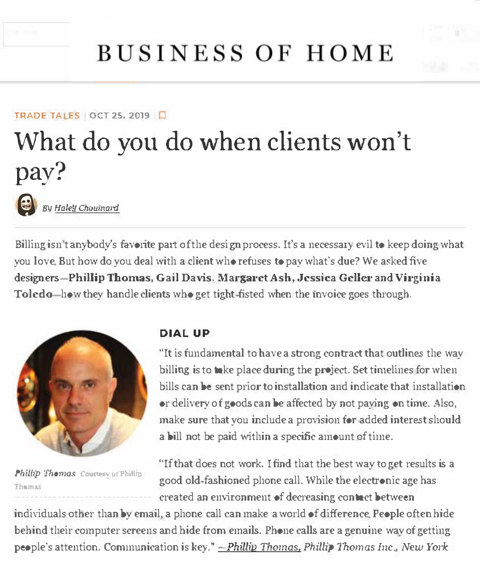

# **BUSINESS OF HOME**

## **TRADE TA ES OCT 25, 2019 Q** What do you do when clients won't pay?



Billing isn't anybody's favorite part of the design process. It's a necessary evil to keep doing what you love. But how do you deal with a client who refuses to pay what's due? We asked five designers-Phillip Thomas, Gail Davis, Margaret Ash, Jessica Geller and Virginia Toledo—how they handle clients who get tight-fisted when the invoice goes through.



*Phillip Thomas Courtesy of Phillip* **Thomas** 

#### **DIAL UP**

''It is fundamental to have a strong contract that outlines the way billing is to take place during the project. Set timelines for when bills can be sent prior to installation and indicate that installation or delivery of goods can be affected by not paying on time. Also, make sure that you include a provision for added interest should a bill not be paid within a specific amount of time.

''If that does not work, I find that the best way to get results is a good old-fashioned phone call. vVhile the electronic age has created an environment of decreasing contact between

individuals other than by email, a phone call can make a world of difference. People often hide behind their computer screens and hide from emails. Phone calls are a genuine way of getting people's attention. Communication is key." - *Phillip Thomas, Phillip Thomas Inc., New York*